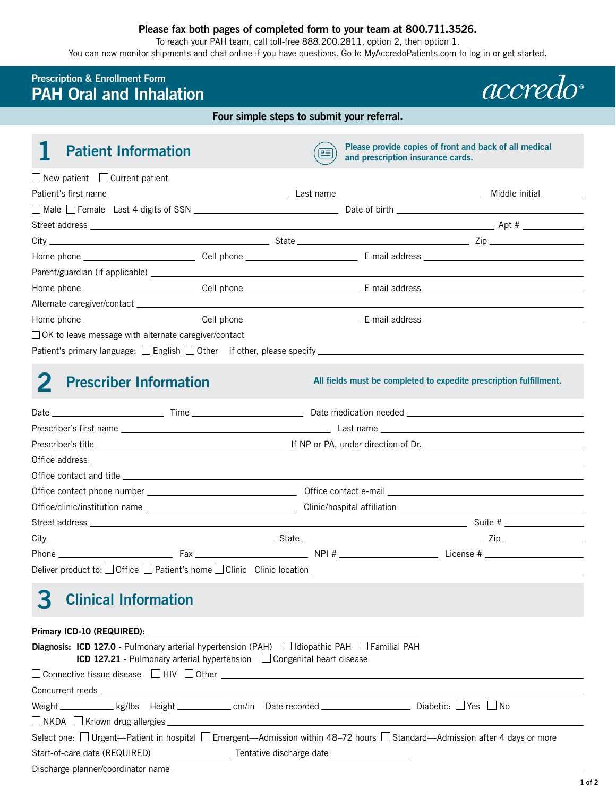#### **Please fax both pages of completed form to your team at 800.711.3526.**

To reach your PAH team, call toll-free 888.200.2811, option 2, then option 1.

You can now monitor shipments and chat online if you have questions. Go to [MyAccredoPatients.com](https://MyAccredoPatients.com) to log in or get started.

### **Prescription & Enrollment Form PAH Oral and Inhalation**

**Four simple steps to submit your referral.** 

| <b>Patient Information</b>                                                                          | $\equiv$ | Please provide copies of front and back of all medical<br>and prescription insurance cards. |  |
|-----------------------------------------------------------------------------------------------------|----------|---------------------------------------------------------------------------------------------|--|
| $\Box$ New patient $\Box$ Current patient                                                           |          |                                                                                             |  |
|                                                                                                     |          |                                                                                             |  |
|                                                                                                     |          |                                                                                             |  |
|                                                                                                     |          |                                                                                             |  |
| $City$ $\qquad \qquad \qquad$ State $\qquad \qquad \qquad$ State $\qquad \qquad$ Zip                |          |                                                                                             |  |
|                                                                                                     |          |                                                                                             |  |
|                                                                                                     |          |                                                                                             |  |
|                                                                                                     |          |                                                                                             |  |
|                                                                                                     |          |                                                                                             |  |
|                                                                                                     |          |                                                                                             |  |
| □ OK to leave message with alternate caregiver/contact                                              |          |                                                                                             |  |
| Patient's primary language: □ English □ Other If other, please specify ____________________________ |          |                                                                                             |  |

# **2** Prescriber Information **All fields must be completed to expedite prescription fulfillment.**

*accredo* 

|  | $City$ $\qquad \qquad \qquad$ State $\qquad \qquad \qquad$ State $\qquad \qquad$ Zip                          |
|--|---------------------------------------------------------------------------------------------------------------|
|  | Phone $\qquad \qquad$ Fax $\qquad \qquad$ Fax $\qquad \qquad$ NPI # $\qquad \qquad$ License # $\qquad \qquad$ |
|  |                                                                                                               |

## **3 Clinical Information**

| <b>Diagnosis: ICD 127.0</b> - Pulmonary arterial hypertension (PAH) $\Box$ Idiopathic PAH $\Box$ Familial PAH<br><b>ICD 127.21</b> - Pulmonary arterial hypertension Congenital heart disease |
|-----------------------------------------------------------------------------------------------------------------------------------------------------------------------------------------------|
| $\Box$ Connective tissue disease $\Box$ HIV $\Box$ Other $\Box$                                                                                                                               |
|                                                                                                                                                                                               |
| Weight $\_\_\_\_\_$ kg/lbs Height $\_\_\_\_$ cm/in Date recorded $\_\_\_\_\_\_$ Diabetic: $\_\_\_\$ Yes $\_\_\$ No                                                                            |
| $\Box$ NKDA $\Box$ Known drug allergies $\Box$ NKDA $\Box$ NKDA $\Box$ Known drug allergies $\Box$                                                                                            |
| Select one: □ Urgent-Patient in hospital □ Emergent-Admission within 48-72 hours □ Standard-Admission after 4 days or more                                                                    |
| Start-of-care date (REQUIRED) _________________________ Tentative discharge date __________________                                                                                           |
|                                                                                                                                                                                               |